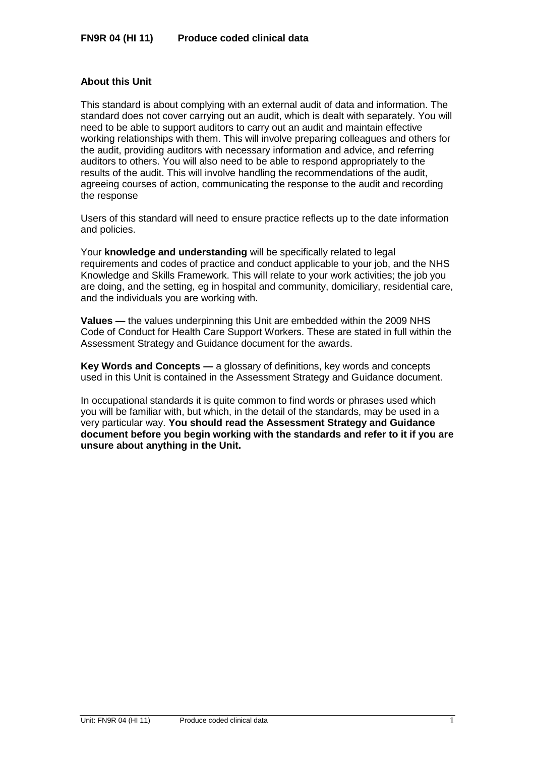# **About this Unit**

This standard is about complying with an external audit of data and information. The standard does not cover carrying out an audit, which is dealt with separately. You will need to be able to support auditors to carry out an audit and maintain effective working relationships with them. This will involve preparing colleagues and others for the audit, providing auditors with necessary information and advice, and referring auditors to others. You will also need to be able to respond appropriately to the results of the audit. This will involve handling the recommendations of the audit, agreeing courses of action, communicating the response to the audit and recording the response

Users of this standard will need to ensure practice reflects up to the date information and policies.

Your **knowledge and understanding** will be specifically related to legal requirements and codes of practice and conduct applicable to your job, and the NHS Knowledge and Skills Framework. This will relate to your work activities; the job you are doing, and the setting, eg in hospital and community, domiciliary, residential care, and the individuals you are working with.

**Values —** the values underpinning this Unit are embedded within the 2009 NHS Code of Conduct for Health Care Support Workers. These are stated in full within the Assessment Strategy and Guidance document for the awards.

**Key Words and Concepts —** a glossary of definitions, key words and concepts used in this Unit is contained in the Assessment Strategy and Guidance document.

In occupational standards it is quite common to find words or phrases used which you will be familiar with, but which, in the detail of the standards, may be used in a very particular way. **You should read the Assessment Strategy and Guidance document before you begin working with the standards and refer to it if you are unsure about anything in the Unit.**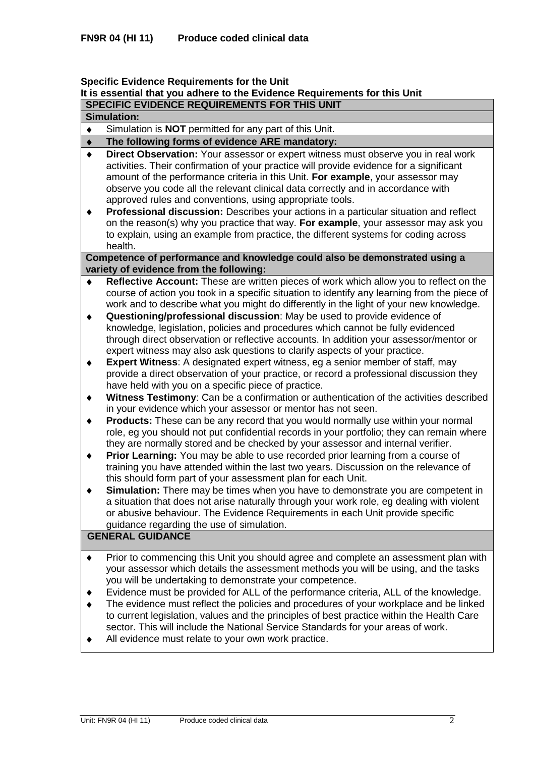### **Specific Evidence Requirements for the Unit**

# **It is essential that you adhere to the Evidence Requirements for this Unit**

**SPECIFIC EVIDENCE REQUIREMENTS FOR THIS UNIT**

| <b>Simulation:</b> |  |  |
|--------------------|--|--|
|                    |  |  |

Simulation is **NOT** permitted for any part of this Unit.  $\blacklozenge$ 

#### **The following forms of evidence ARE mandatory:**  $\blacklozenge$

- **Direct Observation:** Your assessor or expert witness must observe you in real work  $\bullet$ activities. Their confirmation of your practice will provide evidence for a significant amount of the performance criteria in this Unit. **For example**, your assessor may observe you code all the relevant clinical data correctly and in accordance with approved rules and conventions, using appropriate tools.
- $\blacklozenge$ **Professional discussion:** Describes your actions in a particular situation and reflect on the reason(s) why you practice that way. **For example**, your assessor may ask you to explain, using an example from practice, the different systems for coding across health.

## **Competence of performance and knowledge could also be demonstrated using a variety of evidence from the following:**

- **Reflective Account:** These are written pieces of work which allow you to reflect on the course of action you took in a specific situation to identify any learning from the piece of work and to describe what you might do differently in the light of your new knowledge.
- $\ddot{\bullet}$ **Questioning/professional discussion**: May be used to provide evidence of knowledge, legislation, policies and procedures which cannot be fully evidenced through direct observation or reflective accounts. In addition your assessor/mentor or expert witness may also ask questions to clarify aspects of your practice.
- **Expert Witness**: A designated expert witness, eg a senior member of staff, may  $\blacklozenge$ provide a direct observation of your practice, or record a professional discussion they have held with you on a specific piece of practice.
- **Witness Testimony**: Can be a confirmation or authentication of the activities described  $\ddot{\bullet}$ in your evidence which your assessor or mentor has not seen.
- **Products:** These can be any record that you would normally use within your normal  $\blacklozenge$ role, eg you should not put confidential records in your portfolio; they can remain where they are normally stored and be checked by your assessor and internal verifier.
- **Prior Learning:** You may be able to use recorded prior learning from a course of  $\blacklozenge$ training you have attended within the last two years. Discussion on the relevance of this should form part of your assessment plan for each Unit.
- $\ddot{\bullet}$ **Simulation:** There may be times when you have to demonstrate you are competent in a situation that does not arise naturally through your work role, eg dealing with violent or abusive behaviour. The Evidence Requirements in each Unit provide specific guidance regarding the use of simulation.

# **GENERAL GUIDANCE**

- Prior to commencing this Unit you should agree and complete an assessment plan with  $\blacklozenge$ your assessor which details the assessment methods you will be using, and the tasks you will be undertaking to demonstrate your competence.
- Evidence must be provided for ALL of the performance criteria, ALL of the knowledge.
- The evidence must reflect the policies and procedures of your workplace and be linked to current legislation, values and the principles of best practice within the Health Care sector. This will include the National Service Standards for your areas of work.
- All evidence must relate to your own work practice. $\blacklozenge$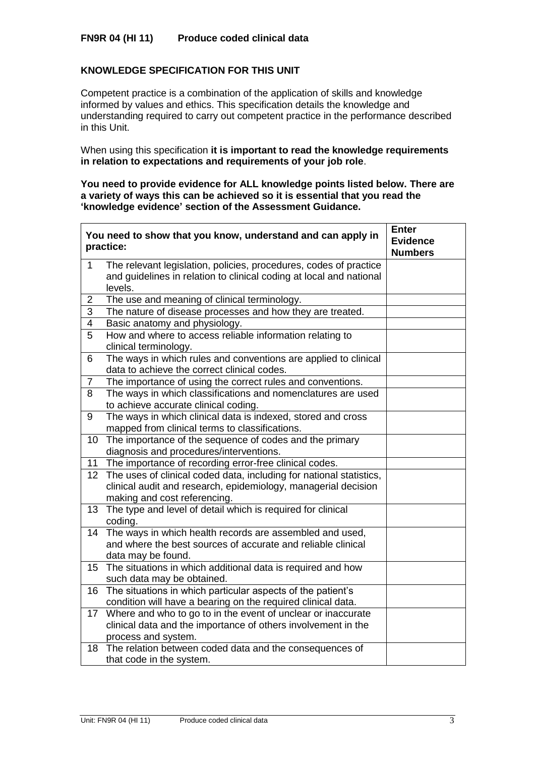# **KNOWLEDGE SPECIFICATION FOR THIS UNIT**

l,

Competent practice is a combination of the application of skills and knowledge informed by values and ethics. This specification details the knowledge and understanding required to carry out competent practice in the performance described in this Unit.

When using this specification **it is important to read the knowledge requirements in relation to expectations and requirements of your job role**.

**You need to provide evidence for ALL knowledge points listed below. There are a variety of ways this can be achieved so it is essential that you read the 'knowledge evidence' section of the Assessment Guidance.**

|                 | You need to show that you know, understand and can apply in<br>practice:                                                                                              | <b>Enter</b><br><b>Evidence</b><br><b>Numbers</b> |
|-----------------|-----------------------------------------------------------------------------------------------------------------------------------------------------------------------|---------------------------------------------------|
| $\mathbf{1}$    | The relevant legislation, policies, procedures, codes of practice<br>and guidelines in relation to clinical coding at local and national<br>levels.                   |                                                   |
| $\overline{2}$  | The use and meaning of clinical terminology.                                                                                                                          |                                                   |
| $\overline{3}$  | The nature of disease processes and how they are treated.                                                                                                             |                                                   |
| 4               | Basic anatomy and physiology.                                                                                                                                         |                                                   |
| 5               | How and where to access reliable information relating to<br>clinical terminology.                                                                                     |                                                   |
| 6               | The ways in which rules and conventions are applied to clinical<br>data to achieve the correct clinical codes.                                                        |                                                   |
| $\overline{7}$  | The importance of using the correct rules and conventions.                                                                                                            |                                                   |
| 8               | The ways in which classifications and nomenclatures are used<br>to achieve accurate clinical coding.                                                                  |                                                   |
| 9               | The ways in which clinical data is indexed, stored and cross<br>mapped from clinical terms to classifications.                                                        |                                                   |
| 10 <sup>°</sup> | The importance of the sequence of codes and the primary<br>diagnosis and procedures/interventions.                                                                    |                                                   |
| 11              | The importance of recording error-free clinical codes.                                                                                                                |                                                   |
| 12 <sub>2</sub> | The uses of clinical coded data, including for national statistics,<br>clinical audit and research, epidemiology, managerial decision<br>making and cost referencing. |                                                   |
| 13 <sup>°</sup> | The type and level of detail which is required for clinical<br>coding.                                                                                                |                                                   |
| 14              | The ways in which health records are assembled and used,<br>and where the best sources of accurate and reliable clinical<br>data may be found.                        |                                                   |
| 15              | The situations in which additional data is required and how<br>such data may be obtained.                                                                             |                                                   |
| 16              | The situations in which particular aspects of the patient's<br>condition will have a bearing on the required clinical data.                                           |                                                   |
| 17 <sup>2</sup> | Where and who to go to in the event of unclear or inaccurate<br>clinical data and the importance of others involvement in the<br>process and system.                  |                                                   |
| 18              | The relation between coded data and the consequences of<br>that code in the system.                                                                                   |                                                   |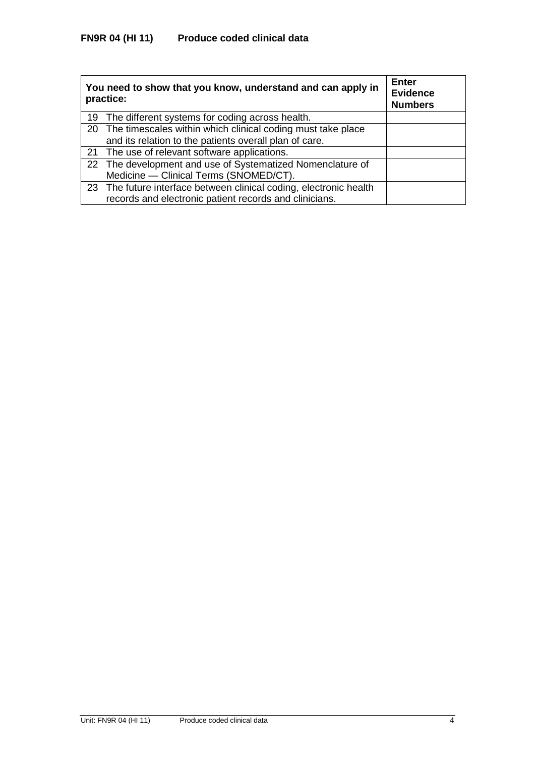| You need to show that you know, understand and can apply in<br>practice: | <b>Enter</b><br><b>Evidence</b><br><b>Numbers</b> |
|--------------------------------------------------------------------------|---------------------------------------------------|
| 19 The different systems for coding across health.                       |                                                   |
| 20 The timescales within which clinical coding must take place           |                                                   |
| and its relation to the patients overall plan of care.                   |                                                   |
| 21 The use of relevant software applications.                            |                                                   |
| 22 The development and use of Systematized Nomenclature of               |                                                   |
| Medicine - Clinical Terms (SNOMED/CT).                                   |                                                   |
| 23 The future interface between clinical coding, electronic health       |                                                   |
| records and electronic patient records and clinicians.                   |                                                   |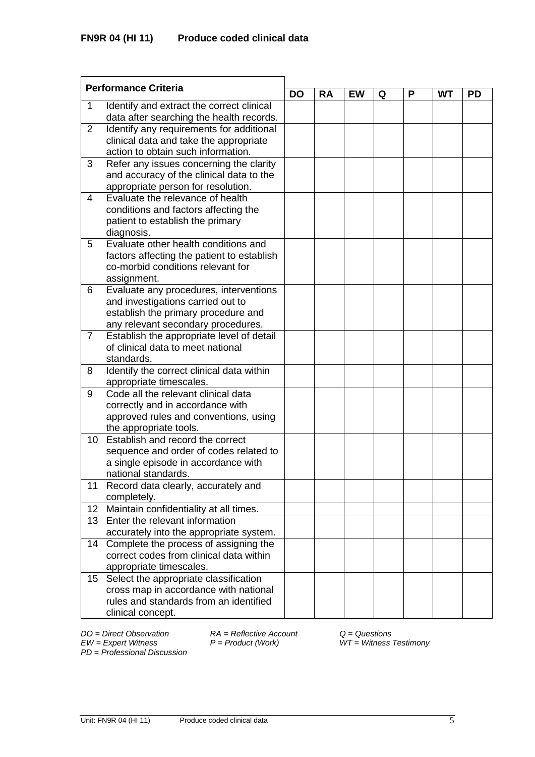| <b>Performance Criteria</b> |                                                                                 |           |           |           |   |   |           |           |
|-----------------------------|---------------------------------------------------------------------------------|-----------|-----------|-----------|---|---|-----------|-----------|
|                             |                                                                                 | <b>DO</b> | <b>RA</b> | <b>EW</b> | Q | P | <b>WT</b> | <b>PD</b> |
| 1                           | Identify and extract the correct clinical                                       |           |           |           |   |   |           |           |
|                             | data after searching the health records.                                        |           |           |           |   |   |           |           |
| 2                           | Identify any requirements for additional                                        |           |           |           |   |   |           |           |
|                             | clinical data and take the appropriate                                          |           |           |           |   |   |           |           |
|                             | action to obtain such information.                                              |           |           |           |   |   |           |           |
| 3                           | Refer any issues concerning the clarity                                         |           |           |           |   |   |           |           |
|                             | and accuracy of the clinical data to the                                        |           |           |           |   |   |           |           |
|                             | appropriate person for resolution.                                              |           |           |           |   |   |           |           |
| 4                           | Evaluate the relevance of health                                                |           |           |           |   |   |           |           |
|                             | conditions and factors affecting the                                            |           |           |           |   |   |           |           |
|                             | patient to establish the primary                                                |           |           |           |   |   |           |           |
|                             | diagnosis.                                                                      |           |           |           |   |   |           |           |
| 5                           | Evaluate other health conditions and                                            |           |           |           |   |   |           |           |
|                             | factors affecting the patient to establish<br>co-morbid conditions relevant for |           |           |           |   |   |           |           |
|                             | assignment.                                                                     |           |           |           |   |   |           |           |
| 6                           | Evaluate any procedures, interventions                                          |           |           |           |   |   |           |           |
|                             | and investigations carried out to                                               |           |           |           |   |   |           |           |
|                             | establish the primary procedure and                                             |           |           |           |   |   |           |           |
|                             | any relevant secondary procedures.                                              |           |           |           |   |   |           |           |
| 7                           | Establish the appropriate level of detail                                       |           |           |           |   |   |           |           |
|                             | of clinical data to meet national                                               |           |           |           |   |   |           |           |
|                             | standards.                                                                      |           |           |           |   |   |           |           |
| 8                           | Identify the correct clinical data within                                       |           |           |           |   |   |           |           |
|                             | appropriate timescales.                                                         |           |           |           |   |   |           |           |
| 9                           | Code all the relevant clinical data                                             |           |           |           |   |   |           |           |
|                             | correctly and in accordance with                                                |           |           |           |   |   |           |           |
|                             | approved rules and conventions, using                                           |           |           |           |   |   |           |           |
|                             | the appropriate tools.                                                          |           |           |           |   |   |           |           |
| 10 <sup>°</sup>             | Establish and record the correct                                                |           |           |           |   |   |           |           |
|                             | sequence and order of codes related to                                          |           |           |           |   |   |           |           |
|                             | a single episode in accordance with                                             |           |           |           |   |   |           |           |
|                             | national standards.                                                             |           |           |           |   |   |           |           |
| 11                          | Record data clearly, accurately and                                             |           |           |           |   |   |           |           |
|                             | completely.                                                                     |           |           |           |   |   |           |           |
| 12 <sub>2</sub>             | Maintain confidentiality at all times.                                          |           |           |           |   |   |           |           |
| 13 <sup>°</sup>             | Enter the relevant information                                                  |           |           |           |   |   |           |           |
|                             | accurately into the appropriate system.                                         |           |           |           |   |   |           |           |
| 14                          | Complete the process of assigning the                                           |           |           |           |   |   |           |           |
|                             | correct codes from clinical data within                                         |           |           |           |   |   |           |           |
|                             | appropriate timescales.                                                         |           |           |           |   |   |           |           |
| 15 <sub>1</sub>             | Select the appropriate classification                                           |           |           |           |   |   |           |           |
|                             | cross map in accordance with national                                           |           |           |           |   |   |           |           |
|                             | rules and standards from an identified                                          |           |           |           |   |   |           |           |
|                             | clinical concept.                                                               |           |           |           |   |   |           |           |

*PD* = *Professional Discussion*

*DO = Direct Observation RA = Reflective Account Q = Questions*

*EW = Expert Witness P = Product (Work) WT = Witness Testimony*